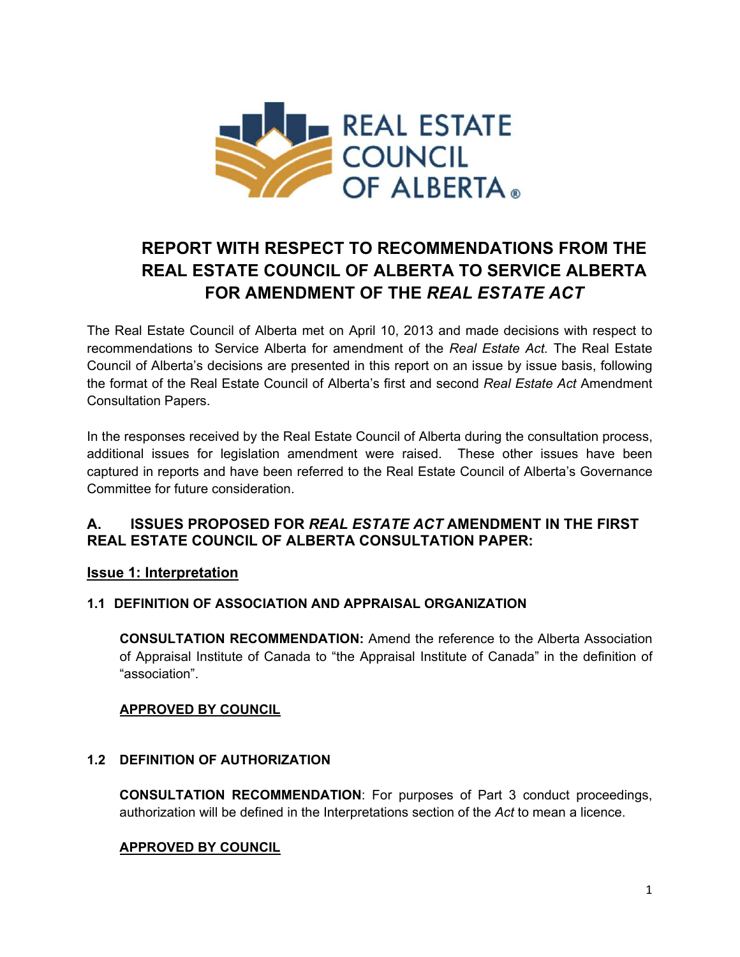

# **REPORT WITH RESPECT TO RECOMMENDATIONS FROM THE REAL ESTATE COUNCIL OF ALBERTA TO SERVICE ALBERTA FOR AMENDMENT OF THE** *REAL ESTATE ACT*

The Real Estate Council of Alberta met on April 10, 2013 and made decisions with respect to recommendations to Service Alberta for amendment of the *Real Estate Act.* The Real Estate Council of Alberta's decisions are presented in this report on an issue by issue basis, following the format of the Real Estate Council of Alberta's first and second *Real Estate Act* Amendment Consultation Papers.

In the responses received by the Real Estate Council of Alberta during the consultation process, additional issues for legislation amendment were raised. These other issues have been captured in reports and have been referred to the Real Estate Council of Alberta's Governance Committee for future consideration.

# **A. ISSUES PROPOSED FOR** *REAL ESTATE ACT* **AMENDMENT IN THE FIRST REAL ESTATE COUNCIL OF ALBERTA CONSULTATION PAPER:**

# **Issue 1: Interpretation**

## **1.1 DEFINITION OF ASSOCIATION AND APPRAISAL ORGANIZATION**

**CONSULTATION RECOMMENDATION:** Amend the reference to the Alberta Association of Appraisal Institute of Canada to "the Appraisal Institute of Canada" in the definition of "association".

## **APPROVED BY COUNCIL**

## **1.2 DEFINITION OF AUTHORIZATION**

**CONSULTATION RECOMMENDATION**: For purposes of Part 3 conduct proceedings, authorization will be defined in the Interpretations section of the *Act* to mean a licence.

# **APPROVED BY COUNCIL**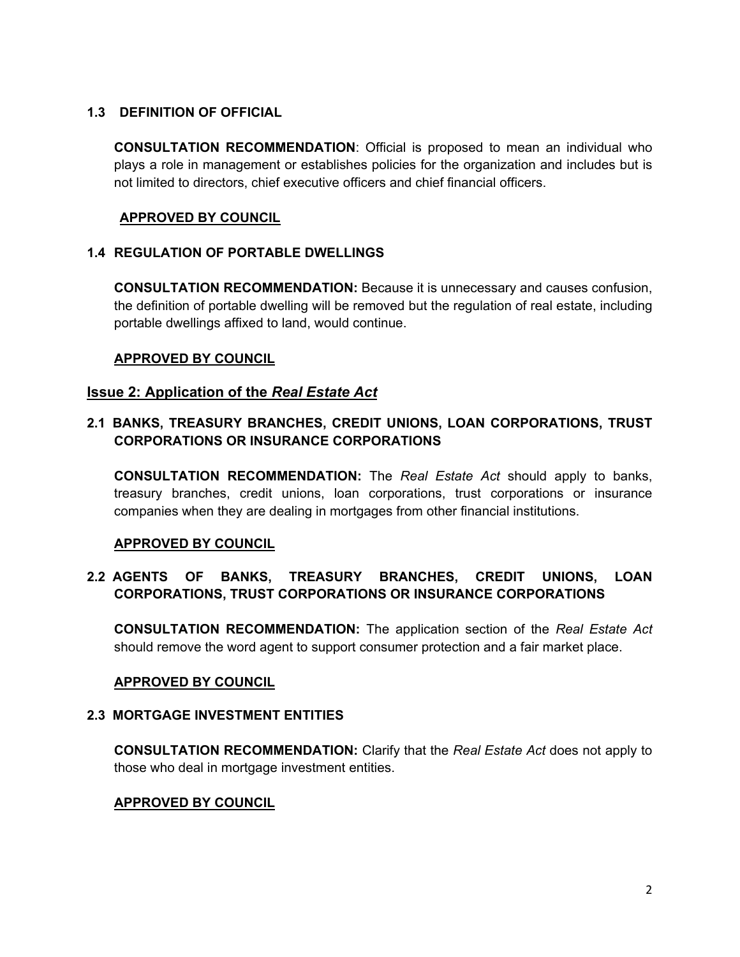## **1.3 DEFINITION OF OFFICIAL**

**CONSULTATION RECOMMENDATION**: Official is proposed to mean an individual who plays a role in management or establishes policies for the organization and includes but is not limited to directors, chief executive officers and chief financial officers.

#### **APPROVED BY COUNCIL**

#### **1.4 REGULATION OF PORTABLE DWELLINGS**

**CONSULTATION RECOMMENDATION:** Because it is unnecessary and causes confusion, the definition of portable dwelling will be removed but the regulation of real estate, including portable dwellings affixed to land, would continue.

#### **APPROVED BY COUNCIL**

#### **Issue 2: Application of the** *Real Estate Act*

## **2.1 BANKS, TREASURY BRANCHES, CREDIT UNIONS, LOAN CORPORATIONS, TRUST CORPORATIONS OR INSURANCE CORPORATIONS**

**CONSULTATION RECOMMENDATION:** The *Real Estate Act* should apply to banks, treasury branches, credit unions, loan corporations, trust corporations or insurance companies when they are dealing in mortgages from other financial institutions.

#### **APPROVED BY COUNCIL**

## **2.2 AGENTS OF BANKS, TREASURY BRANCHES, CREDIT UNIONS, LOAN CORPORATIONS, TRUST CORPORATIONS OR INSURANCE CORPORATIONS**

**CONSULTATION RECOMMENDATION:** The application section of the *Real Estate Act* should remove the word agent to support consumer protection and a fair market place.

#### **APPROVED BY COUNCIL**

#### **2.3 MORTGAGE INVESTMENT ENTITIES**

**CONSULTATION RECOMMENDATION:** Clarify that the *Real Estate Act* does not apply to those who deal in mortgage investment entities.

#### **APPROVED BY COUNCIL**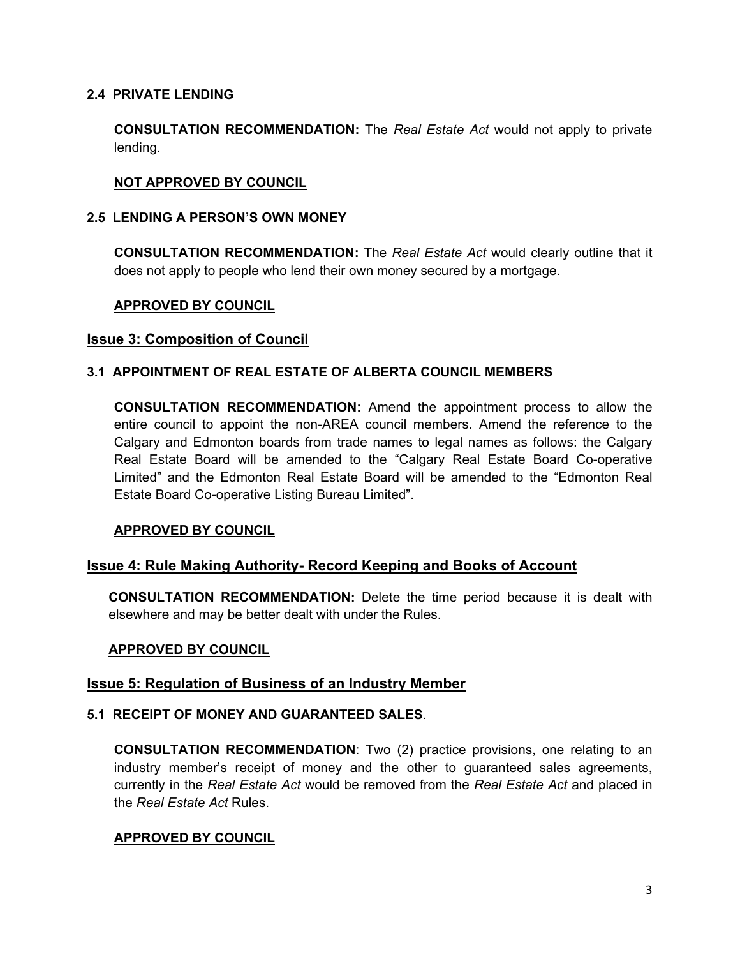#### **2.4 PRIVATE LENDING**

**CONSULTATION RECOMMENDATION:** The *Real Estate Act* would not apply to private lending.

## **NOT APPROVED BY COUNCIL**

#### **2.5 LENDING A PERSON'S OWN MONEY**

**CONSULTATION RECOMMENDATION:** The *Real Estate Act* would clearly outline that it does not apply to people who lend their own money secured by a mortgage.

#### **APPROVED BY COUNCIL**

#### **Issue 3: Composition of Council**

#### **3.1 APPOINTMENT OF REAL ESTATE OF ALBERTA COUNCIL MEMBERS**

**CONSULTATION RECOMMENDATION:** Amend the appointment process to allow the entire council to appoint the non-AREA council members. Amend the reference to the Calgary and Edmonton boards from trade names to legal names as follows: the Calgary Real Estate Board will be amended to the "Calgary Real Estate Board Co-operative Limited" and the Edmonton Real Estate Board will be amended to the "Edmonton Real Estate Board Co-operative Listing Bureau Limited".

#### **APPROVED BY COUNCIL**

#### **Issue 4: Rule Making Authority- Record Keeping and Books of Account**

**CONSULTATION RECOMMENDATION:** Delete the time period because it is dealt with elsewhere and may be better dealt with under the Rules.

#### **APPROVED BY COUNCIL**

#### **Issue 5: Regulation of Business of an Industry Member**

#### **5.1 RECEIPT OF MONEY AND GUARANTEED SALES**.

**CONSULTATION RECOMMENDATION**: Two (2) practice provisions, one relating to an industry member's receipt of money and the other to guaranteed sales agreements, currently in the *Real Estate Act* would be removed from the *Real Estate Act* and placed in the *Real Estate Act* Rules.

#### **APPROVED BY COUNCIL**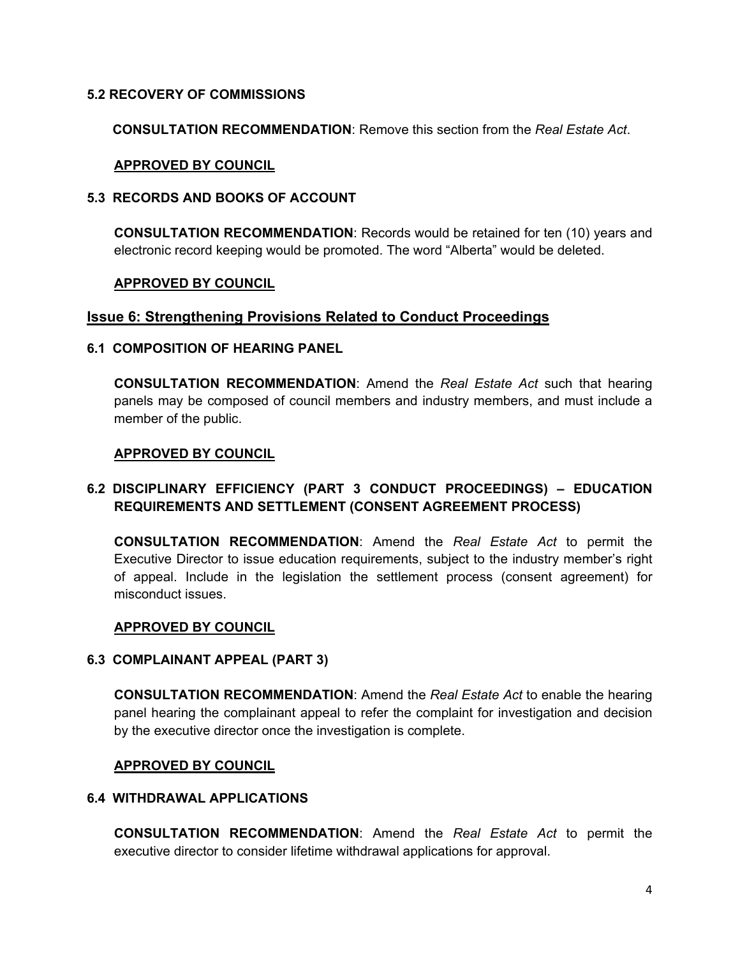#### **5.2 RECOVERY OF COMMISSIONS**

 **CONSULTATION RECOMMENDATION**: Remove this section from the *Real Estate Act*.

#### **APPROVED BY COUNCIL**

#### **5.3 RECORDS AND BOOKS OF ACCOUNT**

**CONSULTATION RECOMMENDATION**: Records would be retained for ten (10) years and electronic record keeping would be promoted. The word "Alberta" would be deleted.

#### **APPROVED BY COUNCIL**

#### **Issue 6: Strengthening Provisions Related to Conduct Proceedings**

#### **6.1 COMPOSITION OF HEARING PANEL**

**CONSULTATION RECOMMENDATION**: Amend the *Real Estate Act* such that hearing panels may be composed of council members and industry members, and must include a member of the public.

#### **APPROVED BY COUNCIL**

## **6.2 DISCIPLINARY EFFICIENCY (PART 3 CONDUCT PROCEEDINGS) – EDUCATION REQUIREMENTS AND SETTLEMENT (CONSENT AGREEMENT PROCESS)**

**CONSULTATION RECOMMENDATION**: Amend the *Real Estate Act* to permit the Executive Director to issue education requirements, subject to the industry member's right of appeal. Include in the legislation the settlement process (consent agreement) for misconduct issues.

#### **APPROVED BY COUNCIL**

#### **6.3 COMPLAINANT APPEAL (PART 3)**

**CONSULTATION RECOMMENDATION**: Amend the *Real Estate Act* to enable the hearing panel hearing the complainant appeal to refer the complaint for investigation and decision by the executive director once the investigation is complete.

#### **APPROVED BY COUNCIL**

## **6.4 WITHDRAWAL APPLICATIONS**

**CONSULTATION RECOMMENDATION**: Amend the *Real Estate Act* to permit the executive director to consider lifetime withdrawal applications for approval.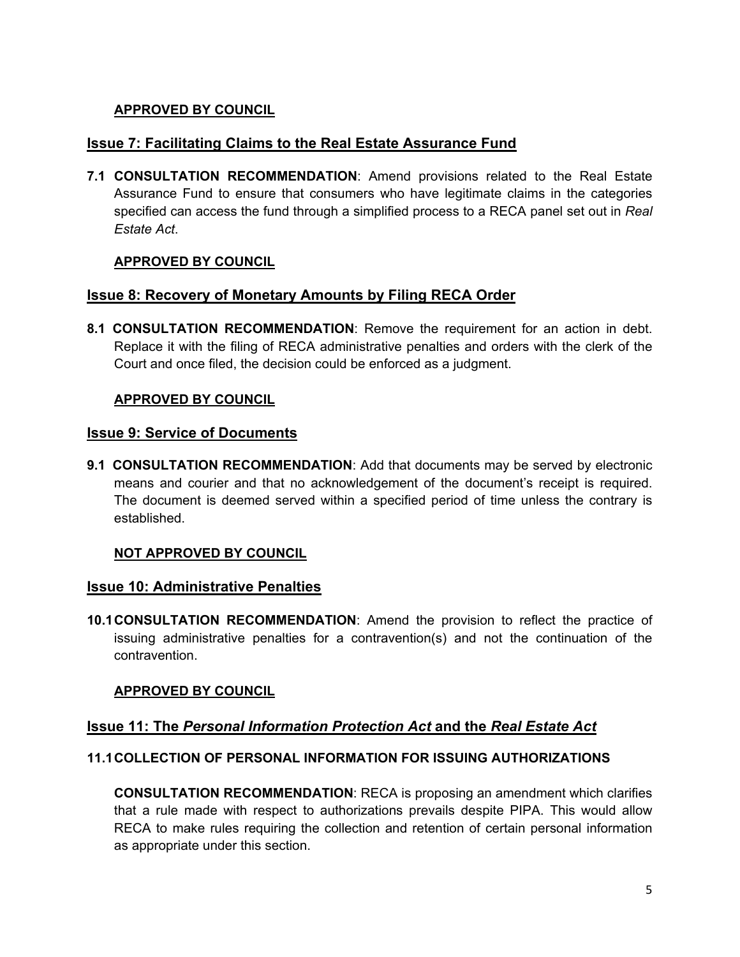## **APPROVED BY COUNCIL**

## **Issue 7: Facilitating Claims to the Real Estate Assurance Fund**

**7.1 CONSULTATION RECOMMENDATION**: Amend provisions related to the Real Estate Assurance Fund to ensure that consumers who have legitimate claims in the categories specified can access the fund through a simplified process to a RECA panel set out in *Real Estate Act*.

## **APPROVED BY COUNCIL**

#### **Issue 8: Recovery of Monetary Amounts by Filing RECA Order**

**8.1 CONSULTATION RECOMMENDATION**: Remove the requirement for an action in debt. Replace it with the filing of RECA administrative penalties and orders with the clerk of the Court and once filed, the decision could be enforced as a judgment.

#### **APPROVED BY COUNCIL**

#### **Issue 9: Service of Documents**

**9.1 CONSULTATION RECOMMENDATION**: Add that documents may be served by electronic means and courier and that no acknowledgement of the document's receipt is required. The document is deemed served within a specified period of time unless the contrary is established.

## **NOT APPROVED BY COUNCIL**

#### **Issue 10: Administrative Penalties**

**10.1 CONSULTATION RECOMMENDATION**: Amend the provision to reflect the practice of issuing administrative penalties for a contravention(s) and not the continuation of the contravention.

## **APPROVED BY COUNCIL**

## **Issue 11: The** *Personal Information Protection Act* **and the** *Real Estate Act*

#### **11.1 COLLECTION OF PERSONAL INFORMATION FOR ISSUING AUTHORIZATIONS**

**CONSULTATION RECOMMENDATION**: RECA is proposing an amendment which clarifies that a rule made with respect to authorizations prevails despite PIPA. This would allow RECA to make rules requiring the collection and retention of certain personal information as appropriate under this section.